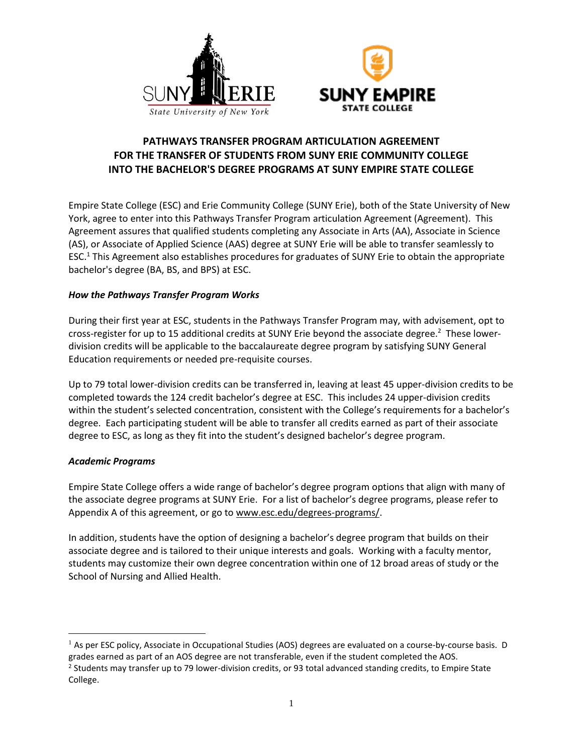



# **PATHWAYS TRANSFER PROGRAM ARTICULATION AGREEMENT FOR THE TRANSFER OF STUDENTS FROM SUNY ERIE COMMUNITY COLLEGE INTO THE BACHELOR'S DEGREE PROGRAMS AT SUNY EMPIRE STATE COLLEGE**

Empire State College (ESC) and Erie Community College (SUNY Erie), both of the State University of New York, agree to enter into this Pathways Transfer Program articulation Agreement (Agreement). This Agreement assures that qualified students completing any Associate in Arts (AA), Associate in Science (AS), or Associate of Applied Science (AAS) degree at SUNY Erie will be able to transfer seamlessly to ESC.<sup>1</sup> This Agreement also establishes procedures for graduates of SUNY Erie to obtain the appropriate bachelor's degree (BA, BS, and BPS) at ESC.

## *How the Pathways Transfer Program Works*

During their first year at ESC, students in the Pathways Transfer Program may, with advisement, opt to cross-register for up to 15 additional credits at SUNY Erie beyond the associate degree.<sup>2</sup> These lowerdivision credits will be applicable to the baccalaureate degree program by satisfying SUNY General Education requirements or needed pre-requisite courses.

Up to 79 total lower-division credits can be transferred in, leaving at least 45 upper-division credits to be completed towards the 124 credit bachelor's degree at ESC. This includes 24 upper-division credits within the student's selected concentration, consistent with the College's requirements for a bachelor's degree. Each participating student will be able to transfer all credits earned as part of their associate degree to ESC, as long as they fit into the student's designed bachelor's degree program.

### *Academic Programs*

 $\overline{a}$ 

Empire State College offers a wide range of bachelor's degree program options that align with many of the associate degree programs at SUNY Erie. For a list of bachelor's degree programs, please refer to Appendix A of this agreement, or go to www.esc.edu/degrees-programs/.

In addition, students have the option of designing a bachelor's degree program that builds on their associate degree and is tailored to their unique interests and goals. Working with a faculty mentor, students may customize their own degree concentration within one of 12 broad areas of study or the School of Nursing and Allied Health.

<sup>&</sup>lt;sup>1</sup> As per ESC policy, Associate in Occupational Studies (AOS) degrees are evaluated on a course-by-course basis. D grades earned as part of an AOS degree are not transferable, even if the student completed the AOS.

<sup>&</sup>lt;sup>2</sup> Students may transfer up to 79 lower-division credits, or 93 total advanced standing credits, to Empire State College.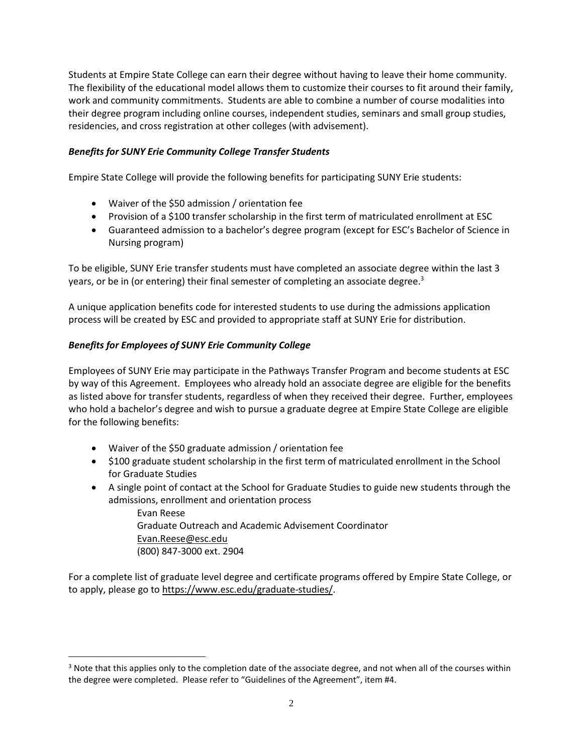Students at Empire State College can earn their degree without having to leave their home community. The flexibility of the educational model allows them to customize their courses to fit around their family, work and community commitments. Students are able to combine a number of course modalities into their degree program including online courses, independent studies, seminars and small group studies, residencies, and cross registration at other colleges (with advisement).

## *Benefits for SUNY Erie Community College Transfer Students*

Empire State College will provide the following benefits for participating SUNY Erie students:

- Waiver of the \$50 admission / orientation fee
- Provision of a \$100 transfer scholarship in the first term of matriculated enrollment at ESC
- Guaranteed admission to a bachelor's degree program (except for ESC's Bachelor of Science in Nursing program)

To be eligible, SUNY Erie transfer students must have completed an associate degree within the last 3 years, or be in (or entering) their final semester of completing an associate degree.<sup>3</sup>

A unique application benefits code for interested students to use during the admissions application process will be created by ESC and provided to appropriate staff at SUNY Erie for distribution.

## *Benefits for Employees of SUNY Erie Community College*

 $\overline{a}$ 

Employees of SUNY Erie may participate in the Pathways Transfer Program and become students at ESC by way of this Agreement. Employees who already hold an associate degree are eligible for the benefits as listed above for transfer students, regardless of when they received their degree. Further, employees who hold a bachelor's degree and wish to pursue a graduate degree at Empire State College are eligible for the following benefits:

- Waiver of the \$50 graduate admission / orientation fee
- \$100 graduate student scholarship in the first term of matriculated enrollment in the School for Graduate Studies
- A single point of contact at the School for Graduate Studies to guide new students through the admissions, enrollment and orientation process

Evan Reese Graduate Outreach and Academic Advisement Coordinator Evan.Reese@esc.edu (800) 847-3000 ext. 2904

For a complete list of graduate level degree and certificate programs offered by Empire State College, or to apply, please go to https://www.esc.edu/graduate-studies/.

 $3$  Note that this applies only to the completion date of the associate degree, and not when all of the courses within the degree were completed. Please refer to "Guidelines of the Agreement", item #4.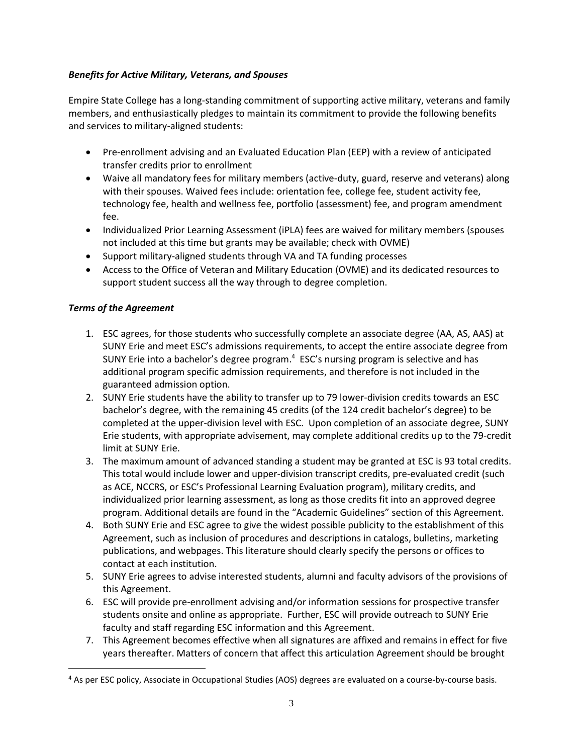## *Benefits for Active Military, Veterans, and Spouses*

Empire State College has a long-standing commitment of supporting active military, veterans and family members, and enthusiastically pledges to maintain its commitment to provide the following benefits and services to military-aligned students:

- Pre-enrollment advising and an Evaluated Education Plan (EEP) with a review of anticipated transfer credits prior to enrollment
- Waive all mandatory fees for military members (active-duty, guard, reserve and veterans) along with their spouses. Waived fees include: orientation fee, college fee, student activity fee, technology fee, health and wellness fee, portfolio (assessment) fee, and program amendment fee.
- Individualized Prior Learning Assessment (iPLA) fees are waived for military members (spouses not included at this time but grants may be available; check with OVME)
- Support military-aligned students through VA and TA funding processes
- Access to the Office of Veteran and Military Education (OVME) and its dedicated resources to support student success all the way through to degree completion.

## *Terms of the Agreement*

 $\overline{a}$ 

- 1. ESC agrees, for those students who successfully complete an associate degree (AA, AS, AAS) at SUNY Erie and meet ESC's admissions requirements, to accept the entire associate degree from SUNY Erie into a bachelor's degree program.<sup>4</sup> ESC's nursing program is selective and has additional program specific admission requirements, and therefore is not included in the guaranteed admission option.
- 2. SUNY Erie students have the ability to transfer up to 79 lower-division credits towards an ESC bachelor's degree, with the remaining 45 credits (of the 124 credit bachelor's degree) to be completed at the upper-division level with ESC. Upon completion of an associate degree, SUNY Erie students, with appropriate advisement, may complete additional credits up to the 79-credit limit at SUNY Erie.
- 3. The maximum amount of advanced standing a student may be granted at ESC is 93 total credits. This total would include lower and upper-division transcript credits, pre-evaluated credit (such as ACE, NCCRS, or ESC's Professional Learning Evaluation program), military credits, and individualized prior learning assessment, as long as those credits fit into an approved degree program. Additional details are found in the "Academic Guidelines" section of this Agreement.
- 4. Both SUNY Erie and ESC agree to give the widest possible publicity to the establishment of this Agreement, such as inclusion of procedures and descriptions in catalogs, bulletins, marketing publications, and webpages. This literature should clearly specify the persons or offices to contact at each institution.
- 5. SUNY Erie agrees to advise interested students, alumni and faculty advisors of the provisions of this Agreement.
- 6. ESC will provide pre-enrollment advising and/or information sessions for prospective transfer students onsite and online as appropriate. Further, ESC will provide outreach to SUNY Erie faculty and staff regarding ESC information and this Agreement.
- 7. This Agreement becomes effective when all signatures are affixed and remains in effect for five years thereafter. Matters of concern that affect this articulation Agreement should be brought

<sup>4</sup> As per ESC policy, Associate in Occupational Studies (AOS) degrees are evaluated on a course-by-course basis.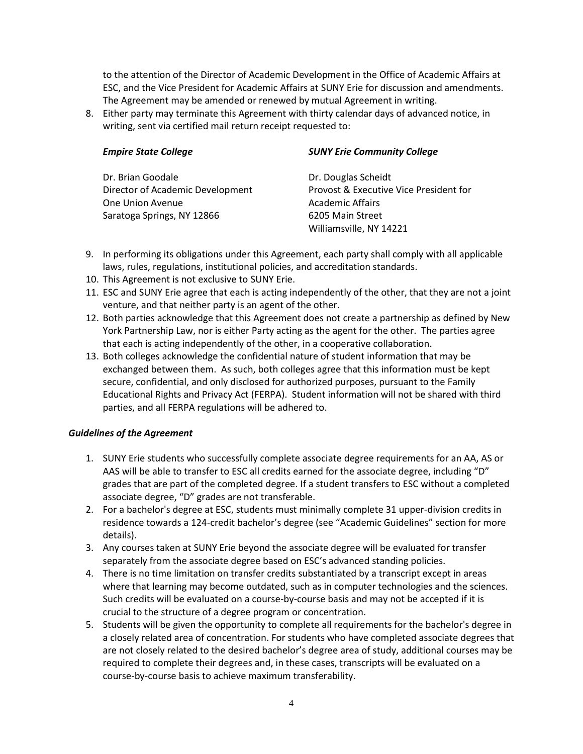to the attention of the Director of Academic Development in the Office of Academic Affairs at ESC, and the Vice President for Academic Affairs at SUNY Erie for discussion and amendments. The Agreement may be amended or renewed by mutual Agreement in writing.

8. Either party may terminate this Agreement with thirty calendar days of advanced notice, in writing, sent via certified mail return receipt requested to:

| <b>Empire State College</b>      | <b>SUNY Erie Community College</b>     |
|----------------------------------|----------------------------------------|
| Dr. Brian Goodale                | Dr. Douglas Scheidt                    |
| Director of Academic Development | Provost & Executive Vice President for |
| One Union Avenue                 | <b>Academic Affairs</b>                |
| Saratoga Springs, NY 12866       | 6205 Main Street                       |
|                                  | Williamsville, NY 14221                |

- 9. In performing its obligations under this Agreement, each party shall comply with all applicable laws, rules, regulations, institutional policies, and accreditation standards.
- 10. This Agreement is not exclusive to SUNY Erie.
- 11. ESC and SUNY Erie agree that each is acting independently of the other, that they are not a joint venture, and that neither party is an agent of the other.
- 12. Both parties acknowledge that this Agreement does not create a partnership as defined by New York Partnership Law, nor is either Party acting as the agent for the other. The parties agree that each is acting independently of the other, in a cooperative collaboration.
- 13. Both colleges acknowledge the confidential nature of student information that may be exchanged between them. As such, both colleges agree that this information must be kept secure, confidential, and only disclosed for authorized purposes, pursuant to the Family Educational Rights and Privacy Act (FERPA). Student information will not be shared with third parties, and all FERPA regulations will be adhered to.

### *Guidelines of the Agreement*

- 1. SUNY Erie students who successfully complete associate degree requirements for an AA, AS or AAS will be able to transfer to ESC all credits earned for the associate degree, including "D" grades that are part of the completed degree. If a student transfers to ESC without a completed associate degree, "D" grades are not transferable.
- 2. For a bachelor's degree at ESC, students must minimally complete 31 upper-division credits in residence towards a 124-credit bachelor's degree (see "Academic Guidelines" section for more details).
- 3. Any courses taken at SUNY Erie beyond the associate degree will be evaluated for transfer separately from the associate degree based on ESC's advanced standing policies.
- 4. There is no time limitation on transfer credits substantiated by a transcript except in areas where that learning may become outdated, such as in computer technologies and the sciences. Such credits will be evaluated on a course-by-course basis and may not be accepted if it is crucial to the structure of a degree program or concentration.
- 5. Students will be given the opportunity to complete all requirements for the bachelor's degree in a closely related area of concentration. For students who have completed associate degrees that are not closely related to the desired bachelor's degree area of study, additional courses may be required to complete their degrees and, in these cases, transcripts will be evaluated on a course-by-course basis to achieve maximum transferability.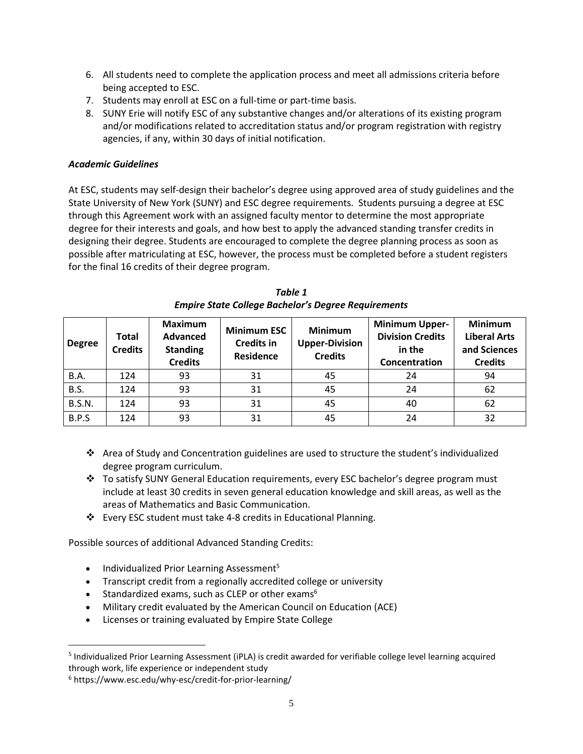- 6. All students need to complete the application process and meet all admissions criteria before being accepted to ESC.
- 7. Students may enroll at ESC on a full-time or part-time basis.
- 8. SUNY Erie will notify ESC of any substantive changes and/or alterations of its existing program and/or modifications related to accreditation status and/or program registration with registry agencies, if any, within 30 days of initial notification.

## *Academic Guidelines*

At ESC, students may self-design their bachelor's degree using approved area of study guidelines and the State University of New York (SUNY) and ESC degree requirements. Students pursuing a degree at ESC through this Agreement work with an assigned faculty mentor to determine the most appropriate degree for their interests and goals, and how best to apply the advanced standing transfer credits in designing their degree. Students are encouraged to complete the degree planning process as soon as possible after matriculating at ESC, however, the process must be completed before a student registers for the final 16 credits of their degree program.

| <b>Degree</b> | <b>Total</b><br><b>Credits</b> | <b>Maximum</b><br>Advanced<br><b>Standing</b><br><b>Credits</b> | <b>Minimum ESC</b><br><b>Credits in</b><br><b>Residence</b> | <b>Minimum</b><br><b>Upper-Division</b><br><b>Credits</b> | <b>Minimum Upper-</b><br><b>Division Credits</b><br>in the<br>Concentration | <b>Minimum</b><br><b>Liberal Arts</b><br>and Sciences<br><b>Credits</b> |
|---------------|--------------------------------|-----------------------------------------------------------------|-------------------------------------------------------------|-----------------------------------------------------------|-----------------------------------------------------------------------------|-------------------------------------------------------------------------|
| <b>B.A.</b>   | 124                            | 93                                                              | 31                                                          | 45                                                        | 24                                                                          | 94                                                                      |
| B.S.          | 124                            | 93                                                              | 31                                                          | 45                                                        | 24                                                                          | 62                                                                      |
| <b>B.S.N.</b> | 124                            | 93                                                              | 31                                                          | 45                                                        | 40                                                                          | 62                                                                      |
| B.P.S         | 124                            | 93                                                              | 31                                                          | 45                                                        | 24                                                                          | 32                                                                      |

*Table 1 Empire State College Bachelor's Degree Requirements*

- Area of Study and Concentration guidelines are used to structure the student's individualized degree program curriculum.
- To satisfy SUNY General Education requirements, every ESC bachelor's degree program must include at least 30 credits in seven general education knowledge and skill areas, as well as the areas of Mathematics and Basic Communication.
- Every ESC student must take 4-8 credits in Educational Planning.

Possible sources of additional Advanced Standing Credits:

- Individualized Prior Learning Assessment<sup>5</sup>
- Transcript credit from a regionally accredited college or university
- **Standardized exams, such as CLEP or other exams**<sup>6</sup>
- Military credit evaluated by the American Council on Education (ACE)
- Licenses or training evaluated by Empire State College

 $\overline{a}$ 

<sup>&</sup>lt;sup>5</sup> Individualized Prior Learning Assessment (iPLA) is credit awarded for verifiable college level learning acquired through work, life experience or independent study

<sup>6</sup> https://www.esc.edu/why-esc/credit-for-prior-learning/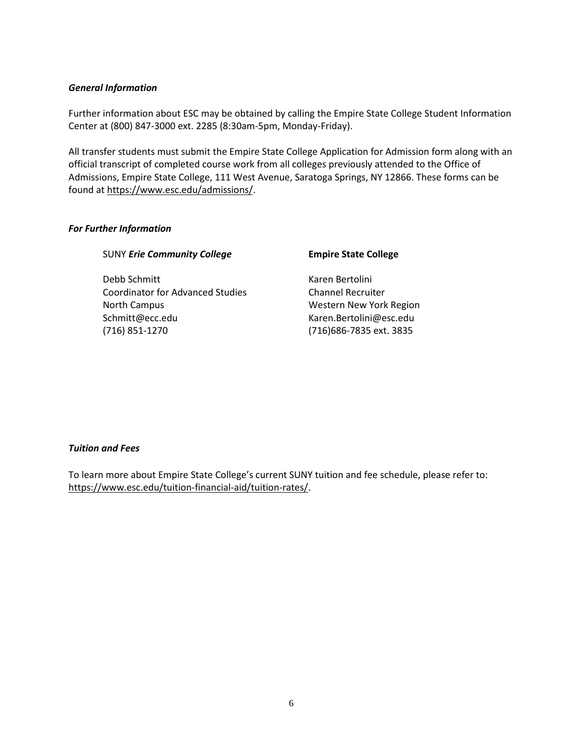#### *General Information*

Further information about ESC may be obtained by calling the Empire State College Student Information Center at (800) 847-3000 ext. 2285 (8:30am-5pm, Monday-Friday).

All transfer students must submit the Empire State College Application for Admission form along with an official transcript of completed course work from all colleges previously attended to the Office of Admissions, Empire State College, 111 West Avenue, Saratoga Springs, NY 12866. These forms can be found at https://www.esc.edu/admissions/.

#### *For Further Information*

#### SUNY *Erie Community College* **Empire State College**

Debb Schmitt National According Karen Bertolini Coordinator for Advanced Studies Channel Recruiter North Campus North Campus Western New York Region Schmitt@ecc.edu Karen.Bertolini@esc.edu (716) 851-1270 (716)686-7835 ext. 3835

#### *Tuition and Fees*

To learn more about Empire State College's current SUNY tuition and fee schedule, please refer to: https://www.esc.edu/tuition-financial-aid/tuition-rates/.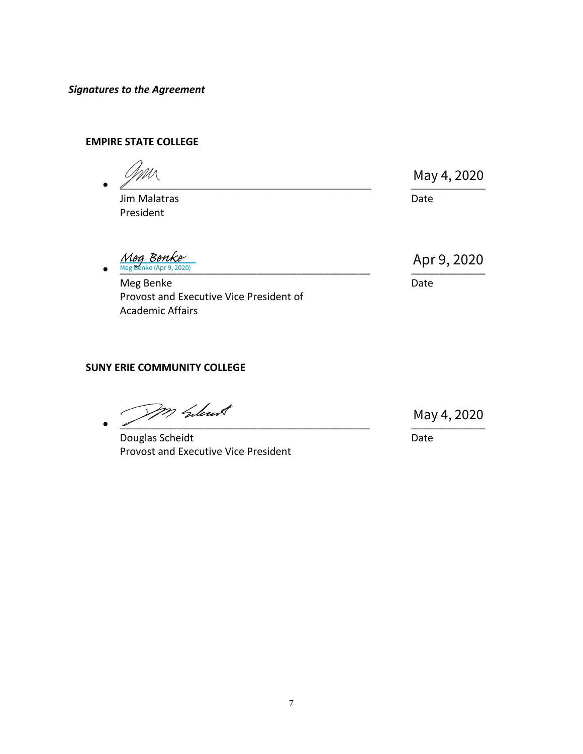*Signatures to the Agreement*

## **EMPIRE STATE COLLEGE**

 $\bullet$   $\angle$   $\qquad \qquad$   $\qquad$   $\qquad$   $\qquad$   $\qquad$   $\qquad$   $\qquad$   $\qquad$   $\qquad$   $\qquad$   $\qquad$   $\qquad$   $\qquad$   $\qquad$   $\qquad$   $\qquad$   $\qquad$   $\qquad$   $\qquad$   $\qquad$   $\qquad$   $\qquad$   $\qquad$   $\qquad$   $\qquad$   $\qquad$   $\qquad$   $\qquad$   $\qquad$   $\qquad$   $\qquad$   $\qquad$   $\qquad$   $\qquad$   $\qquad$ Jim Malatras **Date** President  $\frac{M_{\theta g} \text{}}{M_{\theta g} \text{}} \frac{B_{\theta n} k_{\theta r}}{M_{\theta g} \text{}}$   $\frac{M_{\theta g} \text{}}{M_{\theta g} \text{}}$ Meg Benke Date Date Date Provost and Executive Vice President of May 4, 2020<br>Date<br>Apr 9, 2020

## **SUNY ERIE COMMUNITY COLLEGE**

Academic Affairs

[\\_\\_\\_\\_\\_\\_\\_\\_\\_\\_\\_\\_\\_\\_\\_\\_\\_\\_\\_\\_\\_\\_\\_\\_\\_\\_\\_\\_\\_\\_\\_\\_\\_\\_\\_\\_\\_\\_\\_\\_\\_\\_\\_\\_](https://sunyerie.na2.echosign.com/verifier?tx=CBJCHBCAABAAFiBEpXNz0OvorL9GYPEJlmFp4-Y-cZQ1) \_\_\_\_\_\_\_\_\_\_\_\_\_

Douglas Scheidt **Date** Date **Date** Provost and Executive Vice President

May 4, 2020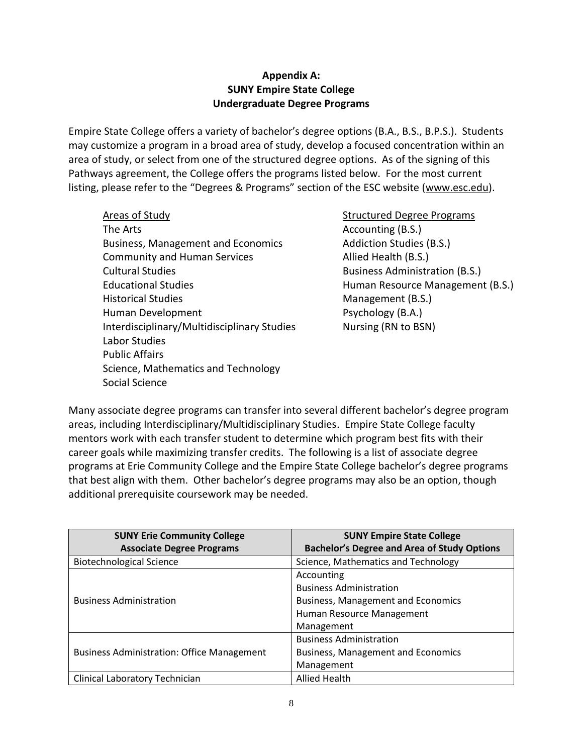## **Appendix A: SUNY Empire State College Undergraduate Degree Programs**

Empire State College offers a variety of bachelor's degree options (B.A., B.S., B.P.S.). Students may customize a program in a broad area of study, develop a focused concentration within an area of study, or select from one of the structured degree options. As of the signing of this Pathways agreement, the College offers the programs listed below. For the most current listing, please refer to the "Degrees & Programs" section of the ESC website (www.esc.edu).

Areas of Study Structured Degree Programs The Arts **Accounting (B.S.) Accounting (B.S.**) Business, Management and Economics The Addiction Studies (B.S.) Community and Human Services Allied Health (B.S.) Cultural Studies Business Administration (B.S.) Educational Studies **Human Resource Management (B.S.)** Historical Studies Management (B.S.) Human Development **Proposed Contact Contact Propose** Psychology (B.A.) Interdisciplinary/Multidisciplinary Studies Nursing (RN to BSN) Labor Studies Public Affairs Science, Mathematics and Technology Social Science

Many associate degree programs can transfer into several different bachelor's degree program areas, including Interdisciplinary/Multidisciplinary Studies. Empire State College faculty mentors work with each transfer student to determine which program best fits with their career goals while maximizing transfer credits. The following is a list of associate degree programs at Erie Community College and the Empire State College bachelor's degree programs that best align with them. Other bachelor's degree programs may also be an option, though additional prerequisite coursework may be needed.

| <b>SUNY Erie Community College</b>                | <b>SUNY Empire State College</b>                   |
|---------------------------------------------------|----------------------------------------------------|
| <b>Associate Degree Programs</b>                  | <b>Bachelor's Degree and Area of Study Options</b> |
| <b>Biotechnological Science</b>                   | Science, Mathematics and Technology                |
| <b>Business Administration</b>                    | Accounting                                         |
|                                                   | <b>Business Administration</b>                     |
|                                                   | <b>Business, Management and Economics</b>          |
|                                                   | Human Resource Management                          |
|                                                   | Management                                         |
| <b>Business Administration: Office Management</b> | <b>Business Administration</b>                     |
|                                                   | <b>Business, Management and Economics</b>          |
|                                                   | Management                                         |
| Clinical Laboratory Technician                    | <b>Allied Health</b>                               |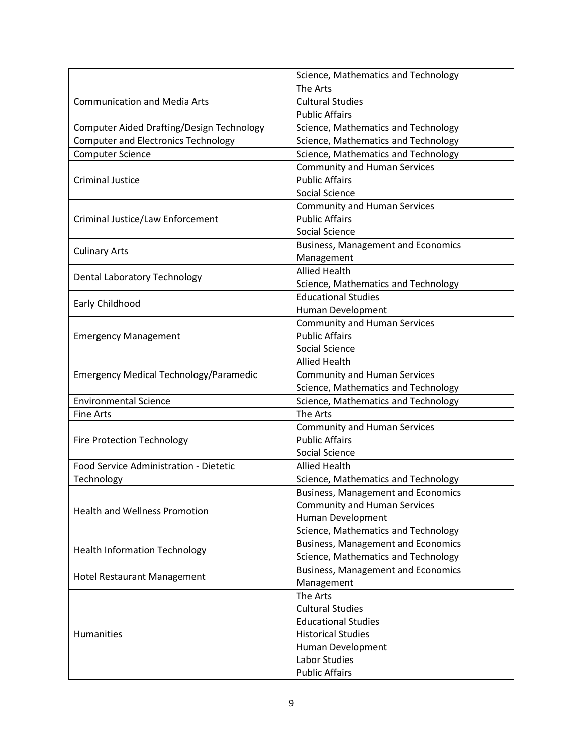|                                                  | Science, Mathematics and Technology       |
|--------------------------------------------------|-------------------------------------------|
|                                                  | The Arts                                  |
| <b>Communication and Media Arts</b>              | <b>Cultural Studies</b>                   |
|                                                  | <b>Public Affairs</b>                     |
| <b>Computer Aided Drafting/Design Technology</b> | Science, Mathematics and Technology       |
| <b>Computer and Electronics Technology</b>       | Science, Mathematics and Technology       |
| <b>Computer Science</b>                          | Science, Mathematics and Technology       |
|                                                  | <b>Community and Human Services</b>       |
| <b>Criminal Justice</b>                          | <b>Public Affairs</b>                     |
|                                                  | Social Science                            |
|                                                  | <b>Community and Human Services</b>       |
| Criminal Justice/Law Enforcement                 | <b>Public Affairs</b>                     |
|                                                  | Social Science                            |
|                                                  | <b>Business, Management and Economics</b> |
| <b>Culinary Arts</b>                             | Management                                |
|                                                  | <b>Allied Health</b>                      |
| <b>Dental Laboratory Technology</b>              | Science, Mathematics and Technology       |
|                                                  | <b>Educational Studies</b>                |
| Early Childhood                                  | Human Development                         |
|                                                  | <b>Community and Human Services</b>       |
| <b>Emergency Management</b>                      | <b>Public Affairs</b>                     |
|                                                  | Social Science                            |
|                                                  | <b>Allied Health</b>                      |
| <b>Emergency Medical Technology/Paramedic</b>    | <b>Community and Human Services</b>       |
|                                                  | Science, Mathematics and Technology       |
| <b>Environmental Science</b>                     | Science, Mathematics and Technology       |
| <b>Fine Arts</b>                                 | The Arts                                  |
|                                                  | <b>Community and Human Services</b>       |
| Fire Protection Technology                       | <b>Public Affairs</b>                     |
|                                                  | Social Science                            |
| Food Service Administration - Dietetic           | <b>Allied Health</b>                      |
| Technology                                       | Science, Mathematics and Technology       |
|                                                  | <b>Business, Management and Economics</b> |
| <b>Health and Wellness Promotion</b>             | <b>Community and Human Services</b>       |
|                                                  | Human Development                         |
|                                                  | Science, Mathematics and Technology       |
|                                                  | <b>Business, Management and Economics</b> |
| <b>Health Information Technology</b>             | Science, Mathematics and Technology       |
|                                                  | <b>Business, Management and Economics</b> |
| Hotel Restaurant Management                      | Management                                |
|                                                  | The Arts                                  |
|                                                  | <b>Cultural Studies</b>                   |
|                                                  | <b>Educational Studies</b>                |
| <b>Humanities</b>                                | <b>Historical Studies</b>                 |
|                                                  | Human Development                         |
|                                                  | Labor Studies                             |
|                                                  | <b>Public Affairs</b>                     |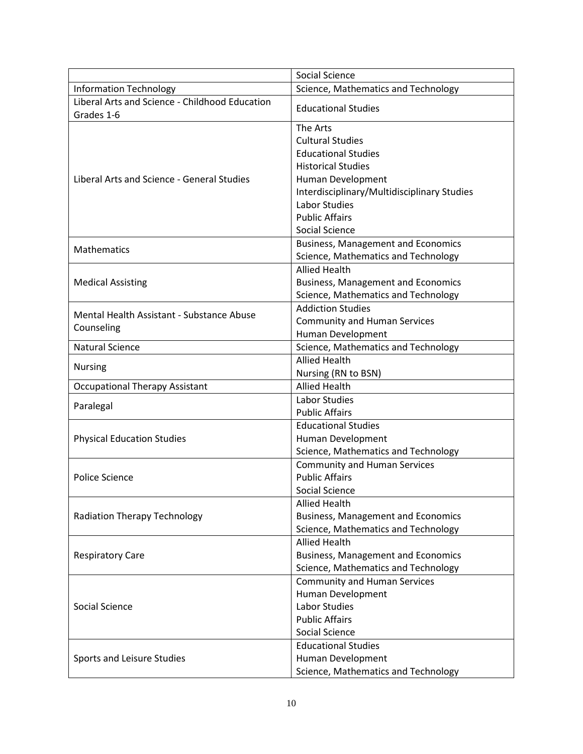|                                                | <b>Social Science</b>                       |  |
|------------------------------------------------|---------------------------------------------|--|
| <b>Information Technology</b>                  | Science, Mathematics and Technology         |  |
| Liberal Arts and Science - Childhood Education | <b>Educational Studies</b>                  |  |
| Grades 1-6                                     |                                             |  |
|                                                | The Arts                                    |  |
|                                                | <b>Cultural Studies</b>                     |  |
|                                                | <b>Educational Studies</b>                  |  |
|                                                | <b>Historical Studies</b>                   |  |
| Liberal Arts and Science - General Studies     | Human Development                           |  |
|                                                | Interdisciplinary/Multidisciplinary Studies |  |
|                                                | Labor Studies                               |  |
|                                                | <b>Public Affairs</b>                       |  |
|                                                | <b>Social Science</b>                       |  |
|                                                | <b>Business, Management and Economics</b>   |  |
| Mathematics                                    | Science, Mathematics and Technology         |  |
|                                                | <b>Allied Health</b>                        |  |
| <b>Medical Assisting</b>                       | <b>Business, Management and Economics</b>   |  |
|                                                | Science, Mathematics and Technology         |  |
|                                                | <b>Addiction Studies</b>                    |  |
| Mental Health Assistant - Substance Abuse      | <b>Community and Human Services</b>         |  |
| Counseling                                     | Human Development                           |  |
| <b>Natural Science</b>                         | Science, Mathematics and Technology         |  |
|                                                | <b>Allied Health</b>                        |  |
| <b>Nursing</b>                                 | Nursing (RN to BSN)                         |  |
| <b>Occupational Therapy Assistant</b>          | <b>Allied Health</b>                        |  |
|                                                | Labor Studies                               |  |
| Paralegal                                      | <b>Public Affairs</b>                       |  |
|                                                | <b>Educational Studies</b>                  |  |
| <b>Physical Education Studies</b>              | Human Development                           |  |
|                                                | Science, Mathematics and Technology         |  |
|                                                | <b>Community and Human Services</b>         |  |
| <b>Police Science</b>                          | <b>Public Affairs</b>                       |  |
|                                                | <b>Social Science</b>                       |  |
| <b>Radiation Therapy Technology</b>            | <b>Allied Health</b>                        |  |
|                                                | <b>Business, Management and Economics</b>   |  |
|                                                | Science, Mathematics and Technology         |  |
| <b>Respiratory Care</b>                        | <b>Allied Health</b>                        |  |
|                                                | <b>Business, Management and Economics</b>   |  |
|                                                | Science, Mathematics and Technology         |  |
| Social Science                                 | <b>Community and Human Services</b>         |  |
|                                                | Human Development                           |  |
|                                                | Labor Studies                               |  |
|                                                | <b>Public Affairs</b>                       |  |
|                                                | Social Science                              |  |
|                                                | <b>Educational Studies</b>                  |  |
| Sports and Leisure Studies                     | Human Development                           |  |
|                                                | Science, Mathematics and Technology         |  |